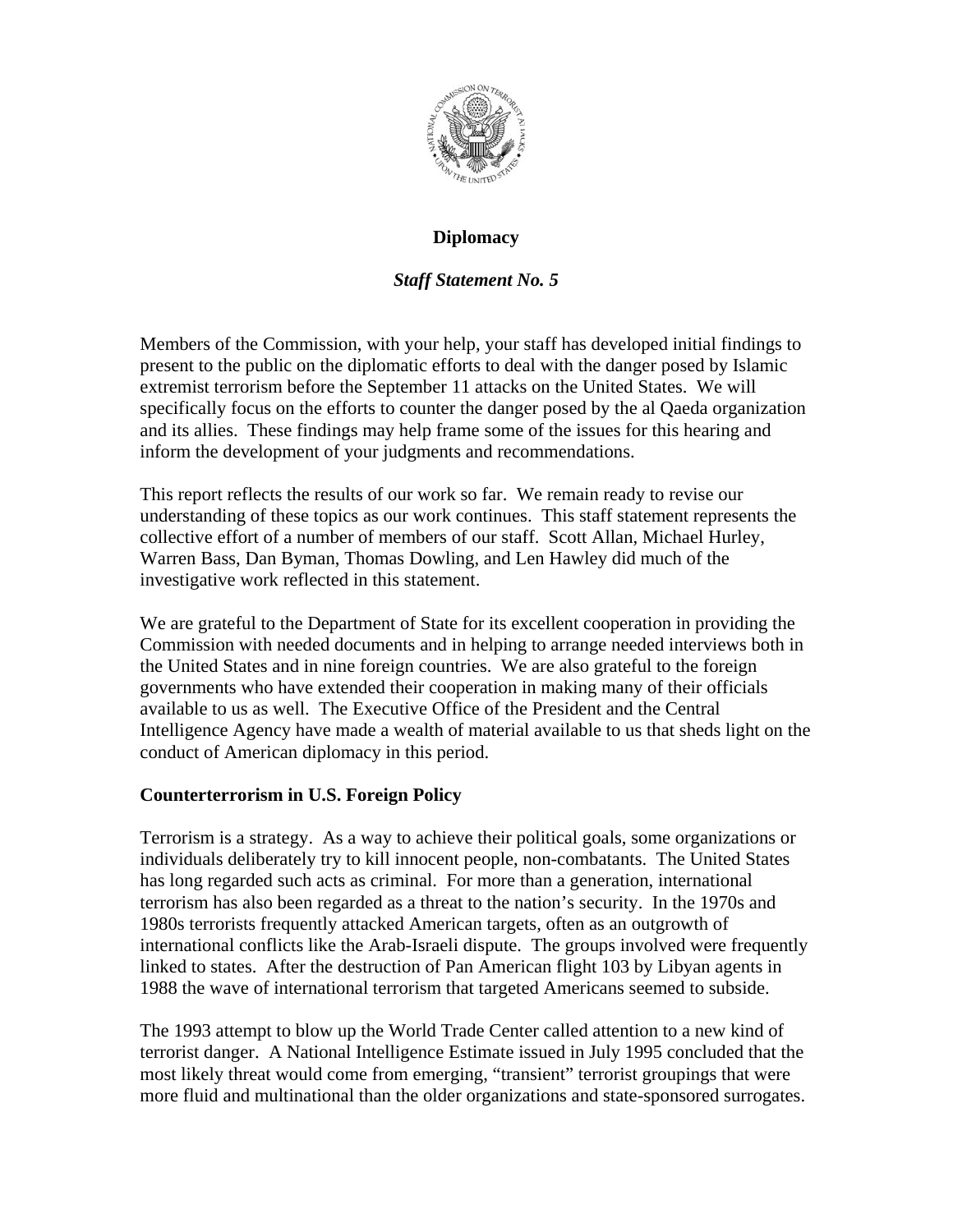

# **Diplomacy**

## *Staff Statement No. 5*

Members of the Commission, with your help, your staff has developed initial findings to present to the public on the diplomatic efforts to deal with the danger posed by Islamic extremist terrorism before the September 11 attacks on the United States. We will specifically focus on the efforts to counter the danger posed by the al Qaeda organization and its allies. These findings may help frame some of the issues for this hearing and inform the development of your judgments and recommendations.

This report reflects the results of our work so far. We remain ready to revise our understanding of these topics as our work continues. This staff statement represents the collective effort of a number of members of our staff. Scott Allan, Michael Hurley, Warren Bass, Dan Byman, Thomas Dowling, and Len Hawley did much of the investigative work reflected in this statement.

We are grateful to the Department of State for its excellent cooperation in providing the Commission with needed documents and in helping to arrange needed interviews both in the United States and in nine foreign countries. We are also grateful to the foreign governments who have extended their cooperation in making many of their officials available to us as well. The Executive Office of the President and the Central Intelligence Agency have made a wealth of material available to us that sheds light on the conduct of American diplomacy in this period.

## **Counterterrorism in U.S. Foreign Policy**

Terrorism is a strategy. As a way to achieve their political goals, some organizations or individuals deliberately try to kill innocent people, non-combatants. The United States has long regarded such acts as criminal. For more than a generation, international terrorism has also been regarded as a threat to the nation's security. In the 1970s and 1980s terrorists frequently attacked American targets, often as an outgrowth of international conflicts like the Arab-Israeli dispute. The groups involved were frequently linked to states. After the destruction of Pan American flight 103 by Libyan agents in 1988 the wave of international terrorism that targeted Americans seemed to subside.

The 1993 attempt to blow up the World Trade Center called attention to a new kind of terrorist danger. A National Intelligence Estimate issued in July 1995 concluded that the most likely threat would come from emerging, "transient" terrorist groupings that were more fluid and multinational than the older organizations and state-sponsored surrogates.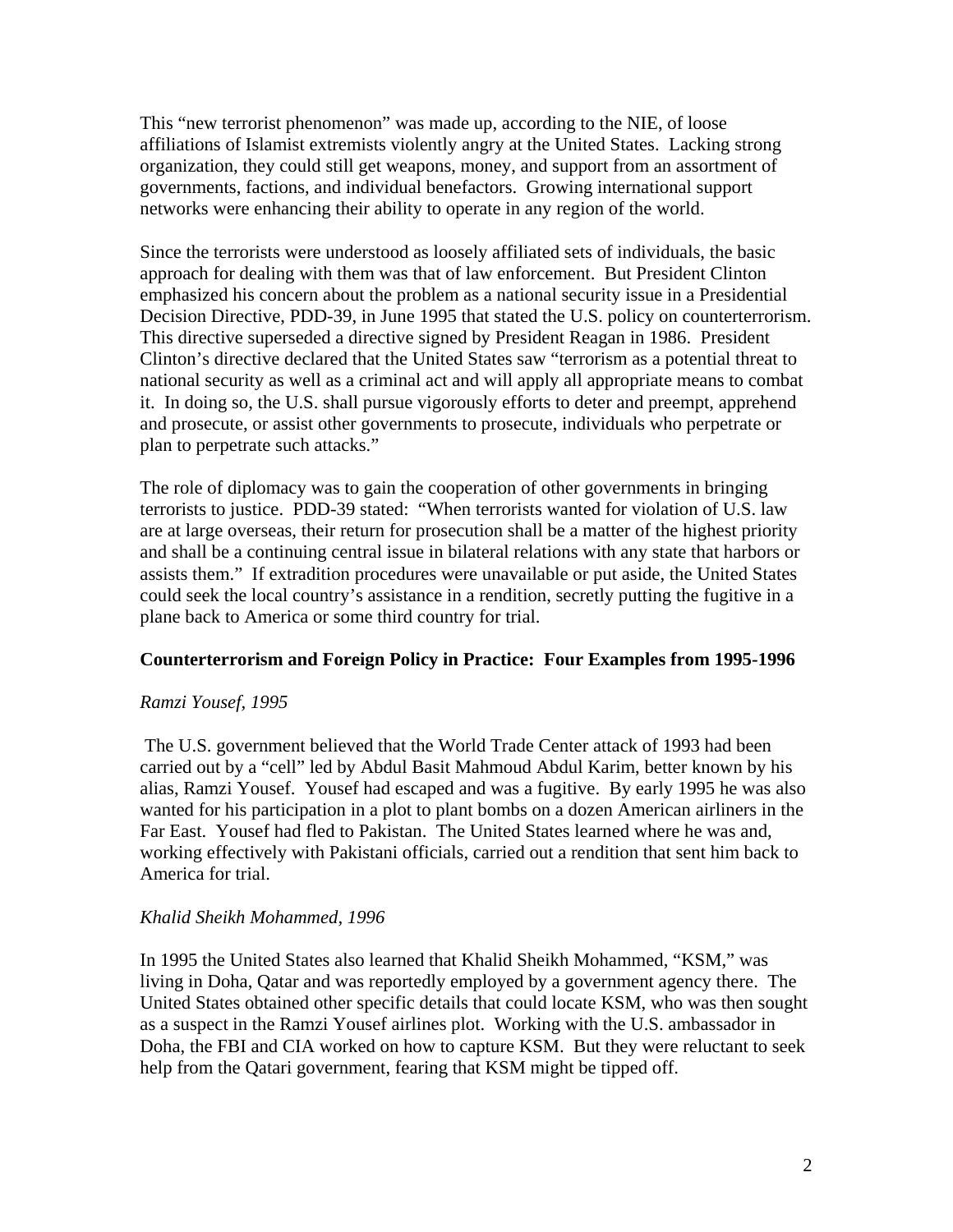This "new terrorist phenomenon" was made up, according to the NIE, of loose affiliations of Islamist extremists violently angry at the United States. Lacking strong organization, they could still get weapons, money, and support from an assortment of governments, factions, and individual benefactors. Growing international support networks were enhancing their ability to operate in any region of the world.

Since the terrorists were understood as loosely affiliated sets of individuals, the basic approach for dealing with them was that of law enforcement. But President Clinton emphasized his concern about the problem as a national security issue in a Presidential Decision Directive, PDD-39, in June 1995 that stated the U.S. policy on counterterrorism. This directive superseded a directive signed by President Reagan in 1986. President Clinton's directive declared that the United States saw "terrorism as a potential threat to national security as well as a criminal act and will apply all appropriate means to combat it. In doing so, the U.S. shall pursue vigorously efforts to deter and preempt, apprehend and prosecute, or assist other governments to prosecute, individuals who perpetrate or plan to perpetrate such attacks."

The role of diplomacy was to gain the cooperation of other governments in bringing terrorists to justice. PDD-39 stated: "When terrorists wanted for violation of U.S. law are at large overseas, their return for prosecution shall be a matter of the highest priority and shall be a continuing central issue in bilateral relations with any state that harbors or assists them." If extradition procedures were unavailable or put aside, the United States could seek the local country's assistance in a rendition, secretly putting the fugitive in a plane back to America or some third country for trial.

## **Counterterrorism and Foreign Policy in Practice: Four Examples from 1995-1996**

#### *Ramzi Yousef, 1995*

 The U.S. government believed that the World Trade Center attack of 1993 had been carried out by a "cell" led by Abdul Basit Mahmoud Abdul Karim, better known by his alias, Ramzi Yousef. Yousef had escaped and was a fugitive. By early 1995 he was also wanted for his participation in a plot to plant bombs on a dozen American airliners in the Far East. Yousef had fled to Pakistan. The United States learned where he was and, working effectively with Pakistani officials, carried out a rendition that sent him back to America for trial.

#### *Khalid Sheikh Mohammed, 1996*

In 1995 the United States also learned that Khalid Sheikh Mohammed, "KSM," was living in Doha, Qatar and was reportedly employed by a government agency there. The United States obtained other specific details that could locate KSM, who was then sought as a suspect in the Ramzi Yousef airlines plot. Working with the U.S. ambassador in Doha, the FBI and CIA worked on how to capture KSM. But they were reluctant to seek help from the Qatari government, fearing that KSM might be tipped off.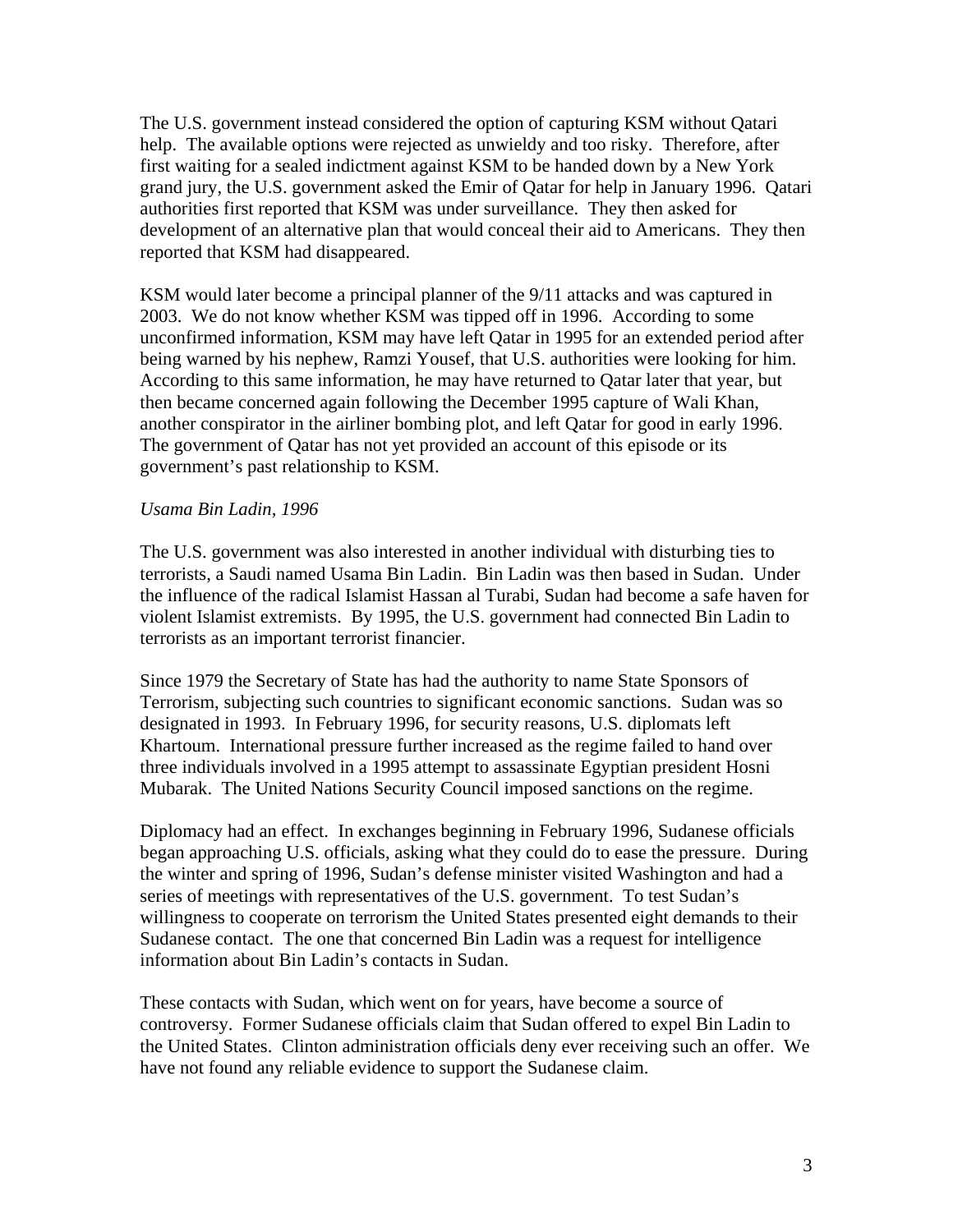The U.S. government instead considered the option of capturing KSM without Qatari help. The available options were rejected as unwieldy and too risky. Therefore, after first waiting for a sealed indictment against KSM to be handed down by a New York grand jury, the U.S. government asked the Emir of Qatar for help in January 1996. Qatari authorities first reported that KSM was under surveillance. They then asked for development of an alternative plan that would conceal their aid to Americans. They then reported that KSM had disappeared.

KSM would later become a principal planner of the 9/11 attacks and was captured in 2003. We do not know whether KSM was tipped off in 1996. According to some unconfirmed information, KSM may have left Qatar in 1995 for an extended period after being warned by his nephew, Ramzi Yousef, that U.S. authorities were looking for him. According to this same information, he may have returned to Qatar later that year, but then became concerned again following the December 1995 capture of Wali Khan, another conspirator in the airliner bombing plot, and left Qatar for good in early 1996. The government of Qatar has not yet provided an account of this episode or its government's past relationship to KSM.

#### *Usama Bin Ladin, 1996*

The U.S. government was also interested in another individual with disturbing ties to terrorists, a Saudi named Usama Bin Ladin. Bin Ladin was then based in Sudan. Under the influence of the radical Islamist Hassan al Turabi, Sudan had become a safe haven for violent Islamist extremists. By 1995, the U.S. government had connected Bin Ladin to terrorists as an important terrorist financier.

Since 1979 the Secretary of State has had the authority to name State Sponsors of Terrorism, subjecting such countries to significant economic sanctions. Sudan was so designated in 1993. In February 1996, for security reasons, U.S. diplomats left Khartoum. International pressure further increased as the regime failed to hand over three individuals involved in a 1995 attempt to assassinate Egyptian president Hosni Mubarak. The United Nations Security Council imposed sanctions on the regime.

Diplomacy had an effect. In exchanges beginning in February 1996, Sudanese officials began approaching U.S. officials, asking what they could do to ease the pressure. During the winter and spring of 1996, Sudan's defense minister visited Washington and had a series of meetings with representatives of the U.S. government. To test Sudan's willingness to cooperate on terrorism the United States presented eight demands to their Sudanese contact. The one that concerned Bin Ladin was a request for intelligence information about Bin Ladin's contacts in Sudan.

These contacts with Sudan, which went on for years, have become a source of controversy. Former Sudanese officials claim that Sudan offered to expel Bin Ladin to the United States. Clinton administration officials deny ever receiving such an offer. We have not found any reliable evidence to support the Sudanese claim.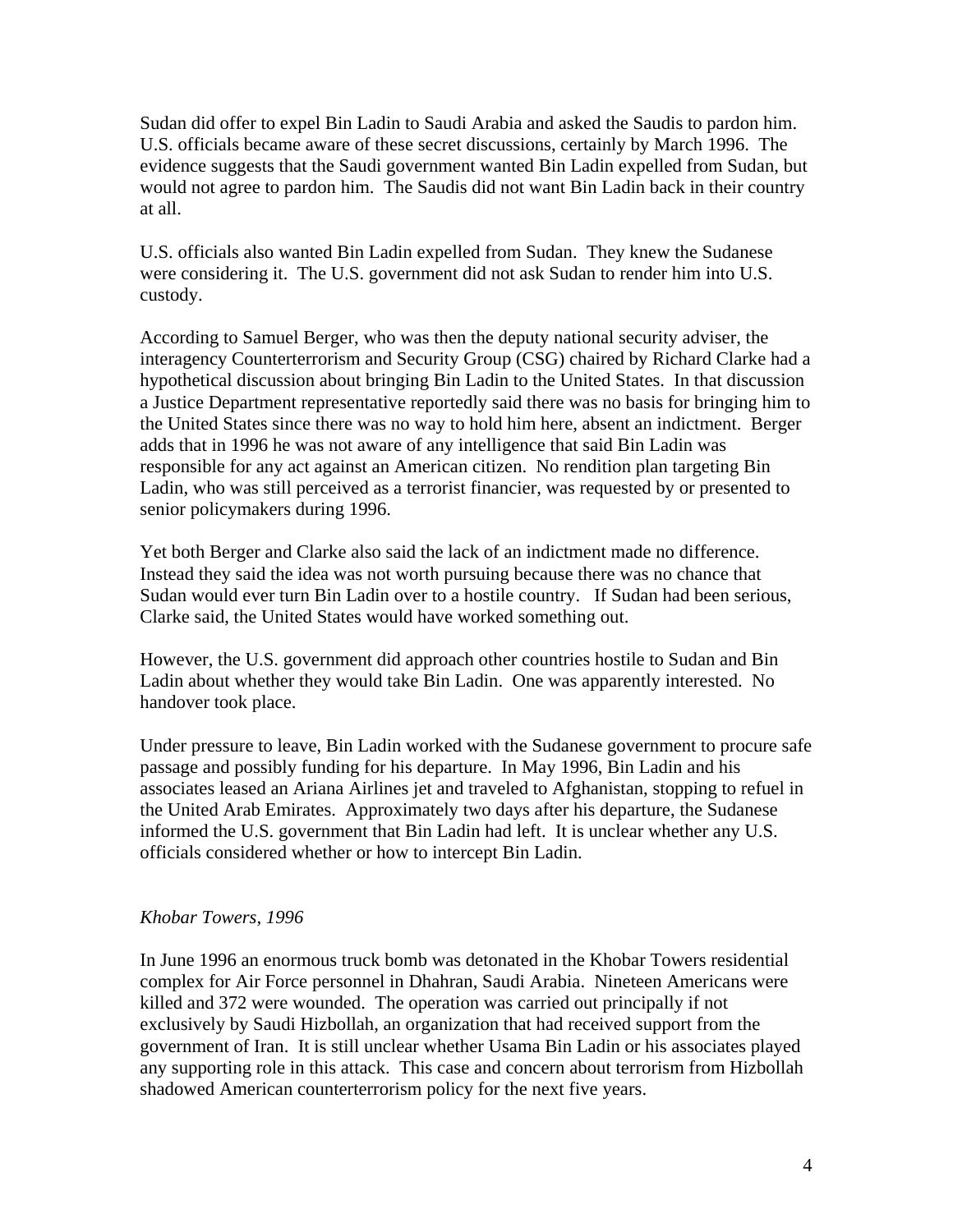Sudan did offer to expel Bin Ladin to Saudi Arabia and asked the Saudis to pardon him. U.S. officials became aware of these secret discussions, certainly by March 1996. The evidence suggests that the Saudi government wanted Bin Ladin expelled from Sudan, but would not agree to pardon him. The Saudis did not want Bin Ladin back in their country at all.

U.S. officials also wanted Bin Ladin expelled from Sudan. They knew the Sudanese were considering it. The U.S. government did not ask Sudan to render him into U.S. custody.

According to Samuel Berger, who was then the deputy national security adviser, the interagency Counterterrorism and Security Group (CSG) chaired by Richard Clarke had a hypothetical discussion about bringing Bin Ladin to the United States. In that discussion a Justice Department representative reportedly said there was no basis for bringing him to the United States since there was no way to hold him here, absent an indictment. Berger adds that in 1996 he was not aware of any intelligence that said Bin Ladin was responsible for any act against an American citizen. No rendition plan targeting Bin Ladin, who was still perceived as a terrorist financier, was requested by or presented to senior policymakers during 1996.

Yet both Berger and Clarke also said the lack of an indictment made no difference. Instead they said the idea was not worth pursuing because there was no chance that Sudan would ever turn Bin Ladin over to a hostile country. If Sudan had been serious, Clarke said, the United States would have worked something out.

However, the U.S. government did approach other countries hostile to Sudan and Bin Ladin about whether they would take Bin Ladin. One was apparently interested. No handover took place.

Under pressure to leave, Bin Ladin worked with the Sudanese government to procure safe passage and possibly funding for his departure. In May 1996, Bin Ladin and his associates leased an Ariana Airlines jet and traveled to Afghanistan, stopping to refuel in the United Arab Emirates. Approximately two days after his departure, the Sudanese informed the U.S. government that Bin Ladin had left. It is unclear whether any U.S. officials considered whether or how to intercept Bin Ladin.

#### *Khobar Towers, 1996*

In June 1996 an enormous truck bomb was detonated in the Khobar Towers residential complex for Air Force personnel in Dhahran, Saudi Arabia. Nineteen Americans were killed and 372 were wounded. The operation was carried out principally if not exclusively by Saudi Hizbollah, an organization that had received support from the government of Iran. It is still unclear whether Usama Bin Ladin or his associates played any supporting role in this attack. This case and concern about terrorism from Hizbollah shadowed American counterterrorism policy for the next five years.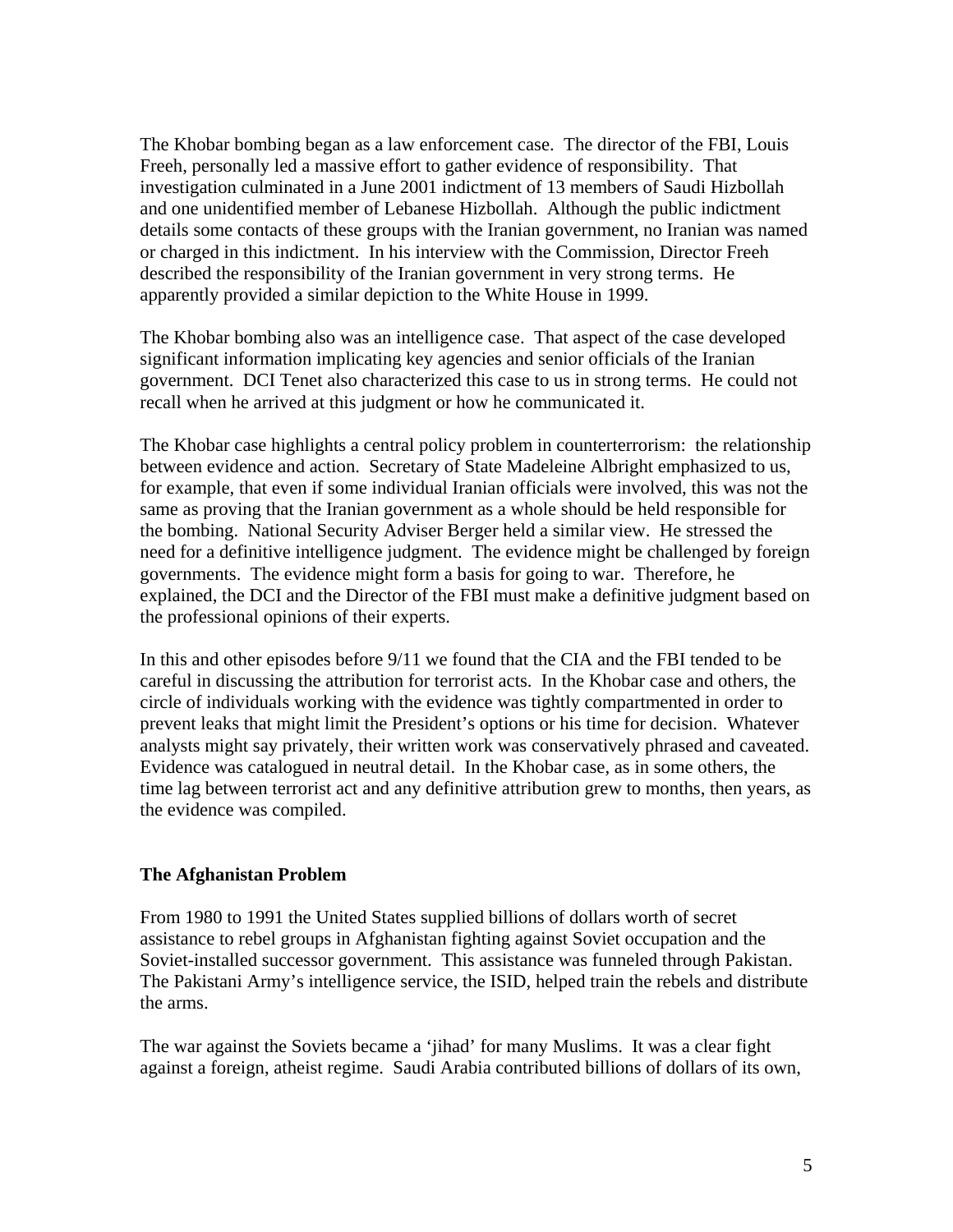The Khobar bombing began as a law enforcement case. The director of the FBI, Louis Freeh, personally led a massive effort to gather evidence of responsibility. That investigation culminated in a June 2001 indictment of 13 members of Saudi Hizbollah and one unidentified member of Lebanese Hizbollah. Although the public indictment details some contacts of these groups with the Iranian government, no Iranian was named or charged in this indictment. In his interview with the Commission, Director Freeh described the responsibility of the Iranian government in very strong terms. He apparently provided a similar depiction to the White House in 1999.

The Khobar bombing also was an intelligence case. That aspect of the case developed significant information implicating key agencies and senior officials of the Iranian government. DCI Tenet also characterized this case to us in strong terms. He could not recall when he arrived at this judgment or how he communicated it.

The Khobar case highlights a central policy problem in counterterrorism: the relationship between evidence and action. Secretary of State Madeleine Albright emphasized to us, for example, that even if some individual Iranian officials were involved, this was not the same as proving that the Iranian government as a whole should be held responsible for the bombing. National Security Adviser Berger held a similar view. He stressed the need for a definitive intelligence judgment. The evidence might be challenged by foreign governments. The evidence might form a basis for going to war. Therefore, he explained, the DCI and the Director of the FBI must make a definitive judgment based on the professional opinions of their experts.

In this and other episodes before 9/11 we found that the CIA and the FBI tended to be careful in discussing the attribution for terrorist acts. In the Khobar case and others, the circle of individuals working with the evidence was tightly compartmented in order to prevent leaks that might limit the President's options or his time for decision. Whatever analysts might say privately, their written work was conservatively phrased and caveated. Evidence was catalogued in neutral detail. In the Khobar case, as in some others, the time lag between terrorist act and any definitive attribution grew to months, then years, as the evidence was compiled.

#### **The Afghanistan Problem**

From 1980 to 1991 the United States supplied billions of dollars worth of secret assistance to rebel groups in Afghanistan fighting against Soviet occupation and the Soviet-installed successor government. This assistance was funneled through Pakistan. The Pakistani Army's intelligence service, the ISID, helped train the rebels and distribute the arms.

The war against the Soviets became a 'jihad' for many Muslims. It was a clear fight against a foreign, atheist regime. Saudi Arabia contributed billions of dollars of its own,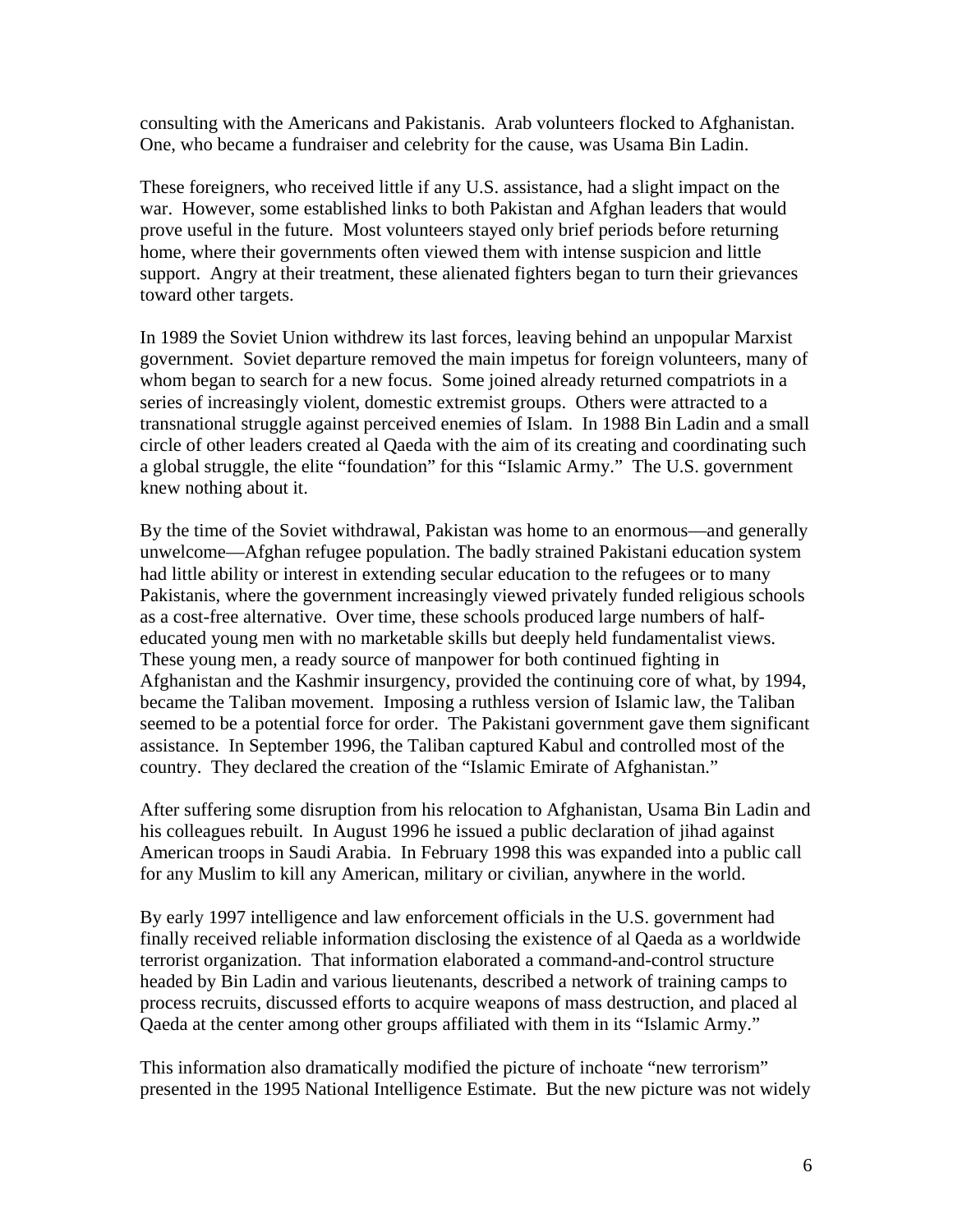consulting with the Americans and Pakistanis. Arab volunteers flocked to Afghanistan. One, who became a fundraiser and celebrity for the cause, was Usama Bin Ladin.

These foreigners, who received little if any U.S. assistance, had a slight impact on the war. However, some established links to both Pakistan and Afghan leaders that would prove useful in the future. Most volunteers stayed only brief periods before returning home, where their governments often viewed them with intense suspicion and little support. Angry at their treatment, these alienated fighters began to turn their grievances toward other targets.

In 1989 the Soviet Union withdrew its last forces, leaving behind an unpopular Marxist government. Soviet departure removed the main impetus for foreign volunteers, many of whom began to search for a new focus. Some joined already returned compatriots in a series of increasingly violent, domestic extremist groups. Others were attracted to a transnational struggle against perceived enemies of Islam. In 1988 Bin Ladin and a small circle of other leaders created al Qaeda with the aim of its creating and coordinating such a global struggle, the elite "foundation" for this "Islamic Army." The U.S. government knew nothing about it.

By the time of the Soviet withdrawal, Pakistan was home to an enormous—and generally unwelcome—Afghan refugee population. The badly strained Pakistani education system had little ability or interest in extending secular education to the refugees or to many Pakistanis, where the government increasingly viewed privately funded religious schools as a cost-free alternative. Over time, these schools produced large numbers of halfeducated young men with no marketable skills but deeply held fundamentalist views. These young men, a ready source of manpower for both continued fighting in Afghanistan and the Kashmir insurgency, provided the continuing core of what, by 1994, became the Taliban movement. Imposing a ruthless version of Islamic law, the Taliban seemed to be a potential force for order. The Pakistani government gave them significant assistance. In September 1996, the Taliban captured Kabul and controlled most of the country. They declared the creation of the "Islamic Emirate of Afghanistan."

After suffering some disruption from his relocation to Afghanistan, Usama Bin Ladin and his colleagues rebuilt. In August 1996 he issued a public declaration of jihad against American troops in Saudi Arabia. In February 1998 this was expanded into a public call for any Muslim to kill any American, military or civilian, anywhere in the world.

By early 1997 intelligence and law enforcement officials in the U.S. government had finally received reliable information disclosing the existence of al Qaeda as a worldwide terrorist organization. That information elaborated a command-and-control structure headed by Bin Ladin and various lieutenants, described a network of training camps to process recruits, discussed efforts to acquire weapons of mass destruction, and placed al Qaeda at the center among other groups affiliated with them in its "Islamic Army."

This information also dramatically modified the picture of inchoate "new terrorism" presented in the 1995 National Intelligence Estimate. But the new picture was not widely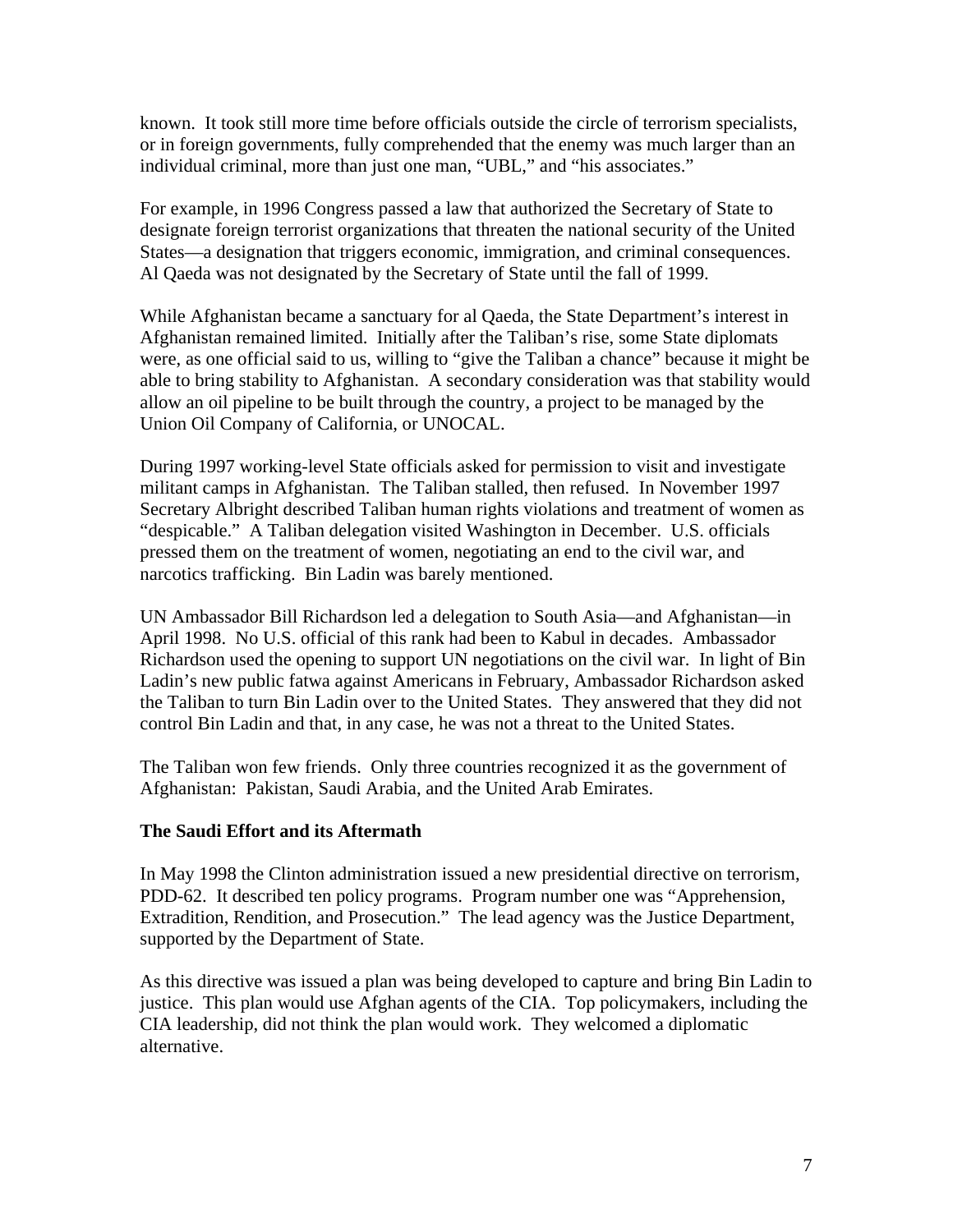known. It took still more time before officials outside the circle of terrorism specialists, or in foreign governments, fully comprehended that the enemy was much larger than an individual criminal, more than just one man, "UBL," and "his associates."

For example, in 1996 Congress passed a law that authorized the Secretary of State to designate foreign terrorist organizations that threaten the national security of the United States—a designation that triggers economic, immigration, and criminal consequences. Al Qaeda was not designated by the Secretary of State until the fall of 1999.

While Afghanistan became a sanctuary for al Qaeda, the State Department's interest in Afghanistan remained limited. Initially after the Taliban's rise, some State diplomats were, as one official said to us, willing to "give the Taliban a chance" because it might be able to bring stability to Afghanistan. A secondary consideration was that stability would allow an oil pipeline to be built through the country, a project to be managed by the Union Oil Company of California, or UNOCAL.

During 1997 working-level State officials asked for permission to visit and investigate militant camps in Afghanistan. The Taliban stalled, then refused. In November 1997 Secretary Albright described Taliban human rights violations and treatment of women as "despicable." A Taliban delegation visited Washington in December. U.S. officials pressed them on the treatment of women, negotiating an end to the civil war, and narcotics trafficking. Bin Ladin was barely mentioned.

UN Ambassador Bill Richardson led a delegation to South Asia—and Afghanistan—in April 1998. No U.S. official of this rank had been to Kabul in decades. Ambassador Richardson used the opening to support UN negotiations on the civil war. In light of Bin Ladin's new public fatwa against Americans in February, Ambassador Richardson asked the Taliban to turn Bin Ladin over to the United States. They answered that they did not control Bin Ladin and that, in any case, he was not a threat to the United States.

The Taliban won few friends. Only three countries recognized it as the government of Afghanistan: Pakistan, Saudi Arabia, and the United Arab Emirates.

#### **The Saudi Effort and its Aftermath**

In May 1998 the Clinton administration issued a new presidential directive on terrorism, PDD-62. It described ten policy programs. Program number one was "Apprehension, Extradition, Rendition, and Prosecution." The lead agency was the Justice Department, supported by the Department of State.

As this directive was issued a plan was being developed to capture and bring Bin Ladin to justice. This plan would use Afghan agents of the CIA. Top policymakers, including the CIA leadership, did not think the plan would work. They welcomed a diplomatic alternative.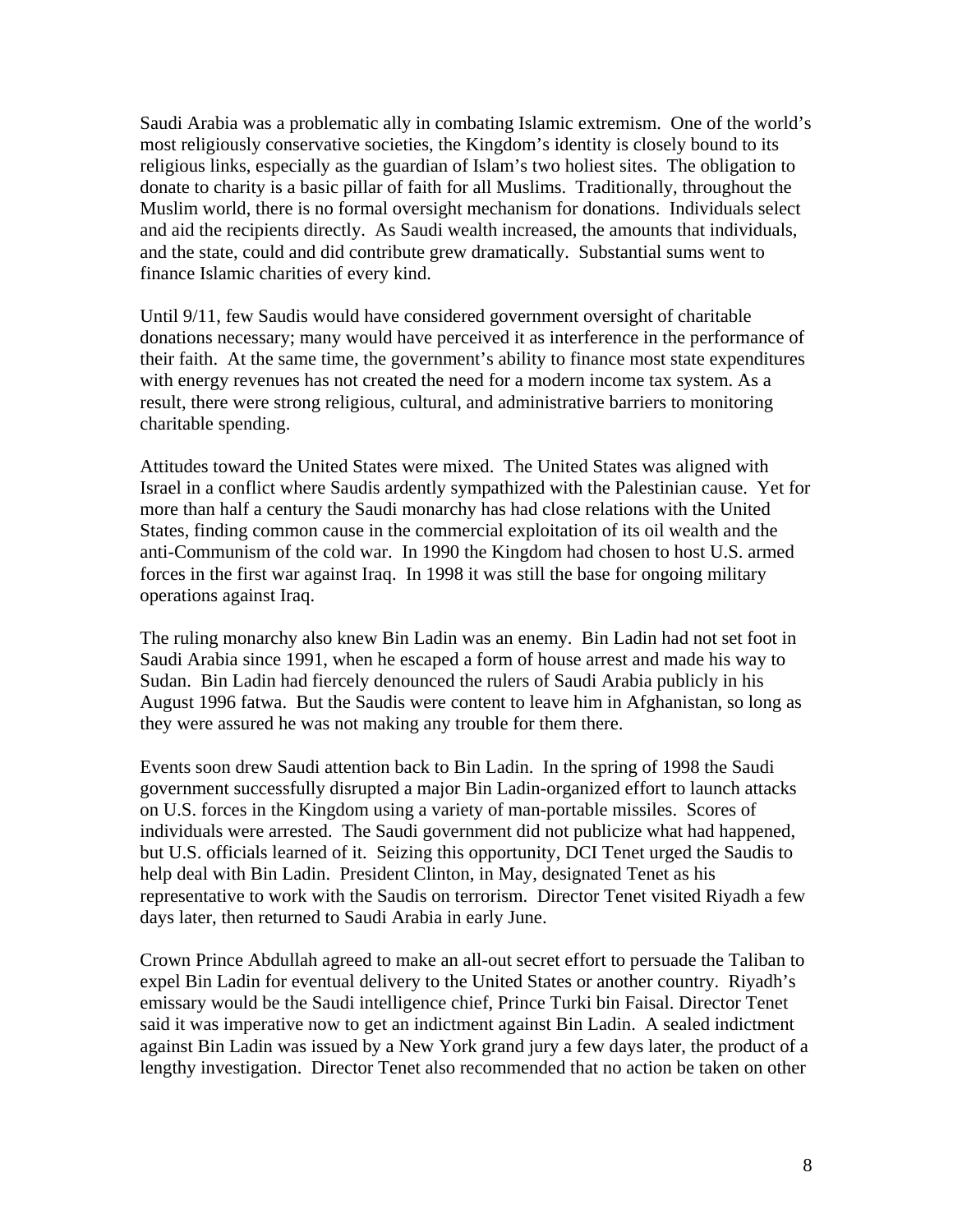Saudi Arabia was a problematic ally in combating Islamic extremism. One of the world's most religiously conservative societies, the Kingdom's identity is closely bound to its religious links, especially as the guardian of Islam's two holiest sites. The obligation to donate to charity is a basic pillar of faith for all Muslims. Traditionally, throughout the Muslim world, there is no formal oversight mechanism for donations. Individuals select and aid the recipients directly. As Saudi wealth increased, the amounts that individuals, and the state, could and did contribute grew dramatically. Substantial sums went to finance Islamic charities of every kind.

Until 9/11, few Saudis would have considered government oversight of charitable donations necessary; many would have perceived it as interference in the performance of their faith. At the same time, the government's ability to finance most state expenditures with energy revenues has not created the need for a modern income tax system. As a result, there were strong religious, cultural, and administrative barriers to monitoring charitable spending.

Attitudes toward the United States were mixed. The United States was aligned with Israel in a conflict where Saudis ardently sympathized with the Palestinian cause. Yet for more than half a century the Saudi monarchy has had close relations with the United States, finding common cause in the commercial exploitation of its oil wealth and the anti-Communism of the cold war. In 1990 the Kingdom had chosen to host U.S. armed forces in the first war against Iraq. In 1998 it was still the base for ongoing military operations against Iraq.

The ruling monarchy also knew Bin Ladin was an enemy. Bin Ladin had not set foot in Saudi Arabia since 1991, when he escaped a form of house arrest and made his way to Sudan. Bin Ladin had fiercely denounced the rulers of Saudi Arabia publicly in his August 1996 fatwa. But the Saudis were content to leave him in Afghanistan, so long as they were assured he was not making any trouble for them there.

Events soon drew Saudi attention back to Bin Ladin. In the spring of 1998 the Saudi government successfully disrupted a major Bin Ladin-organized effort to launch attacks on U.S. forces in the Kingdom using a variety of man-portable missiles. Scores of individuals were arrested. The Saudi government did not publicize what had happened, but U.S. officials learned of it. Seizing this opportunity, DCI Tenet urged the Saudis to help deal with Bin Ladin. President Clinton, in May, designated Tenet as his representative to work with the Saudis on terrorism. Director Tenet visited Riyadh a few days later, then returned to Saudi Arabia in early June.

Crown Prince Abdullah agreed to make an all-out secret effort to persuade the Taliban to expel Bin Ladin for eventual delivery to the United States or another country. Riyadh's emissary would be the Saudi intelligence chief, Prince Turki bin Faisal. Director Tenet said it was imperative now to get an indictment against Bin Ladin. A sealed indictment against Bin Ladin was issued by a New York grand jury a few days later, the product of a lengthy investigation. Director Tenet also recommended that no action be taken on other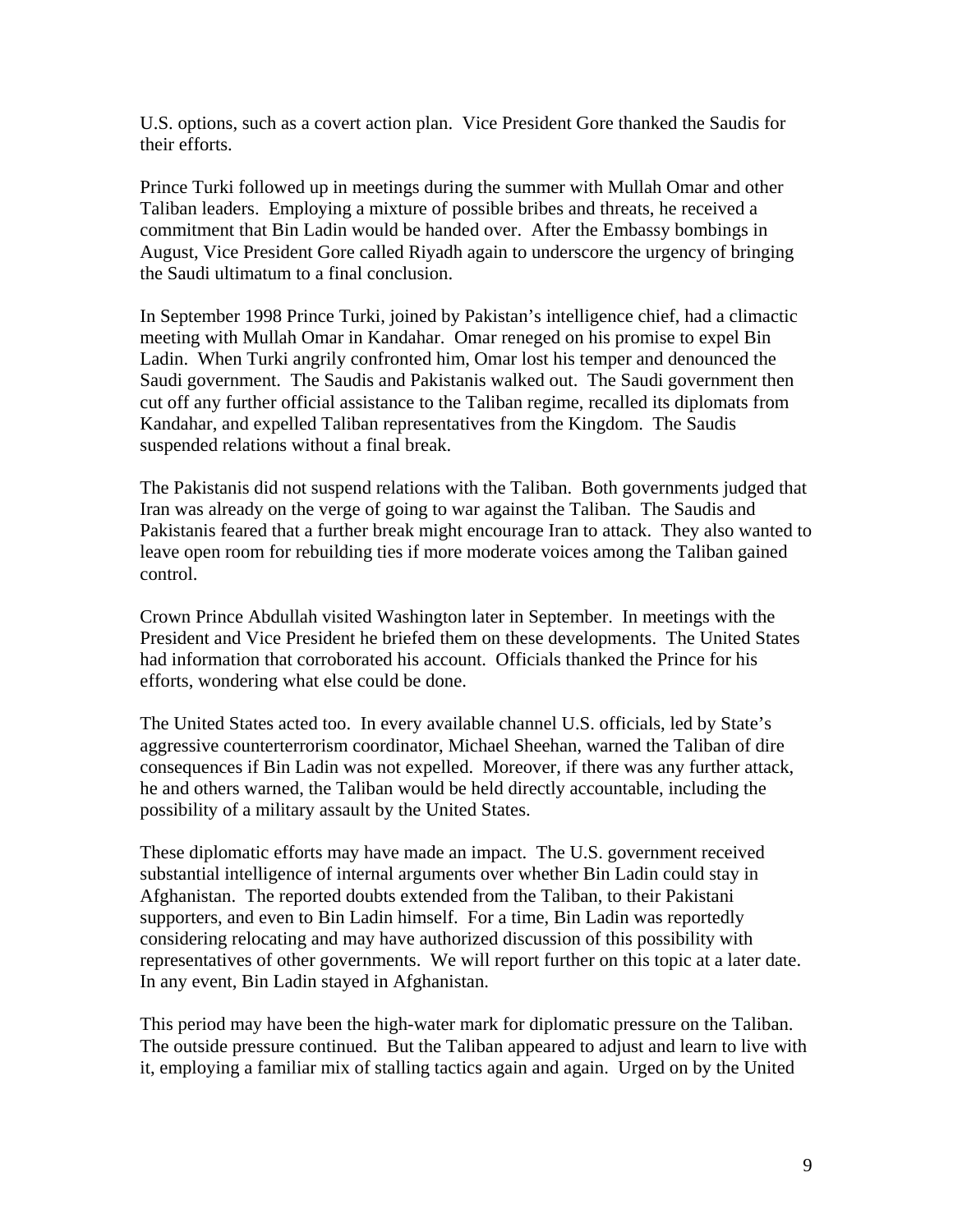U.S. options, such as a covert action plan. Vice President Gore thanked the Saudis for their efforts.

Prince Turki followed up in meetings during the summer with Mullah Omar and other Taliban leaders. Employing a mixture of possible bribes and threats, he received a commitment that Bin Ladin would be handed over. After the Embassy bombings in August, Vice President Gore called Riyadh again to underscore the urgency of bringing the Saudi ultimatum to a final conclusion.

In September 1998 Prince Turki, joined by Pakistan's intelligence chief, had a climactic meeting with Mullah Omar in Kandahar. Omar reneged on his promise to expel Bin Ladin. When Turki angrily confronted him, Omar lost his temper and denounced the Saudi government. The Saudis and Pakistanis walked out. The Saudi government then cut off any further official assistance to the Taliban regime, recalled its diplomats from Kandahar, and expelled Taliban representatives from the Kingdom. The Saudis suspended relations without a final break.

The Pakistanis did not suspend relations with the Taliban. Both governments judged that Iran was already on the verge of going to war against the Taliban. The Saudis and Pakistanis feared that a further break might encourage Iran to attack. They also wanted to leave open room for rebuilding ties if more moderate voices among the Taliban gained control.

Crown Prince Abdullah visited Washington later in September. In meetings with the President and Vice President he briefed them on these developments. The United States had information that corroborated his account. Officials thanked the Prince for his efforts, wondering what else could be done.

The United States acted too. In every available channel U.S. officials, led by State's aggressive counterterrorism coordinator, Michael Sheehan, warned the Taliban of dire consequences if Bin Ladin was not expelled. Moreover, if there was any further attack, he and others warned, the Taliban would be held directly accountable, including the possibility of a military assault by the United States.

These diplomatic efforts may have made an impact. The U.S. government received substantial intelligence of internal arguments over whether Bin Ladin could stay in Afghanistan. The reported doubts extended from the Taliban, to their Pakistani supporters, and even to Bin Ladin himself. For a time, Bin Ladin was reportedly considering relocating and may have authorized discussion of this possibility with representatives of other governments. We will report further on this topic at a later date. In any event, Bin Ladin stayed in Afghanistan.

This period may have been the high-water mark for diplomatic pressure on the Taliban. The outside pressure continued. But the Taliban appeared to adjust and learn to live with it, employing a familiar mix of stalling tactics again and again. Urged on by the United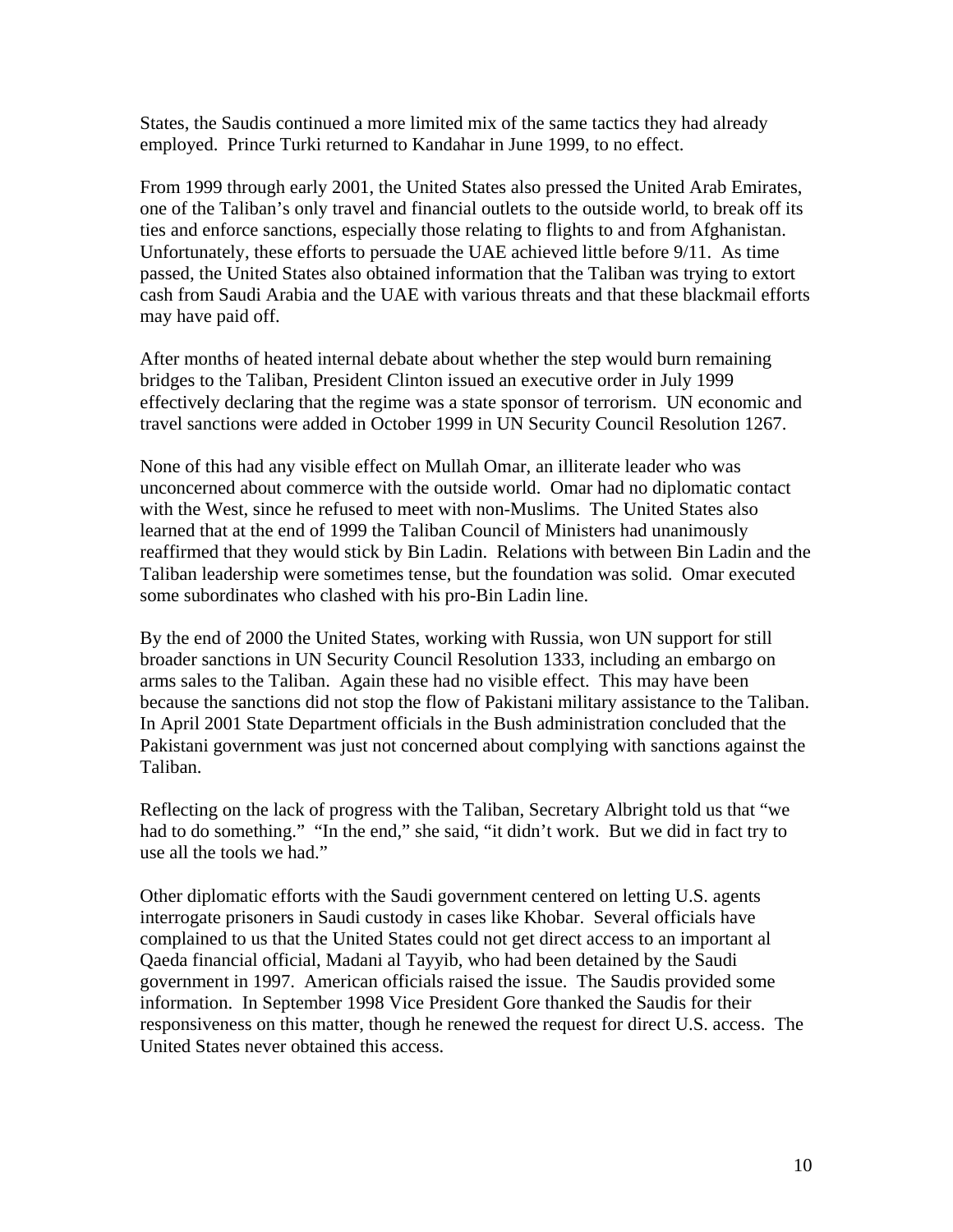States, the Saudis continued a more limited mix of the same tactics they had already employed. Prince Turki returned to Kandahar in June 1999, to no effect.

From 1999 through early 2001, the United States also pressed the United Arab Emirates, one of the Taliban's only travel and financial outlets to the outside world, to break off its ties and enforce sanctions, especially those relating to flights to and from Afghanistan. Unfortunately, these efforts to persuade the UAE achieved little before 9/11. As time passed, the United States also obtained information that the Taliban was trying to extort cash from Saudi Arabia and the UAE with various threats and that these blackmail efforts may have paid off.

After months of heated internal debate about whether the step would burn remaining bridges to the Taliban, President Clinton issued an executive order in July 1999 effectively declaring that the regime was a state sponsor of terrorism. UN economic and travel sanctions were added in October 1999 in UN Security Council Resolution 1267.

None of this had any visible effect on Mullah Omar, an illiterate leader who was unconcerned about commerce with the outside world. Omar had no diplomatic contact with the West, since he refused to meet with non-Muslims. The United States also learned that at the end of 1999 the Taliban Council of Ministers had unanimously reaffirmed that they would stick by Bin Ladin. Relations with between Bin Ladin and the Taliban leadership were sometimes tense, but the foundation was solid. Omar executed some subordinates who clashed with his pro-Bin Ladin line.

By the end of 2000 the United States, working with Russia, won UN support for still broader sanctions in UN Security Council Resolution 1333, including an embargo on arms sales to the Taliban. Again these had no visible effect. This may have been because the sanctions did not stop the flow of Pakistani military assistance to the Taliban. In April 2001 State Department officials in the Bush administration concluded that the Pakistani government was just not concerned about complying with sanctions against the Taliban.

Reflecting on the lack of progress with the Taliban, Secretary Albright told us that "we had to do something." "In the end," she said, "it didn't work. But we did in fact try to use all the tools we had."

Other diplomatic efforts with the Saudi government centered on letting U.S. agents interrogate prisoners in Saudi custody in cases like Khobar. Several officials have complained to us that the United States could not get direct access to an important al Qaeda financial official, Madani al Tayyib, who had been detained by the Saudi government in 1997. American officials raised the issue. The Saudis provided some information. In September 1998 Vice President Gore thanked the Saudis for their responsiveness on this matter, though he renewed the request for direct U.S. access. The United States never obtained this access.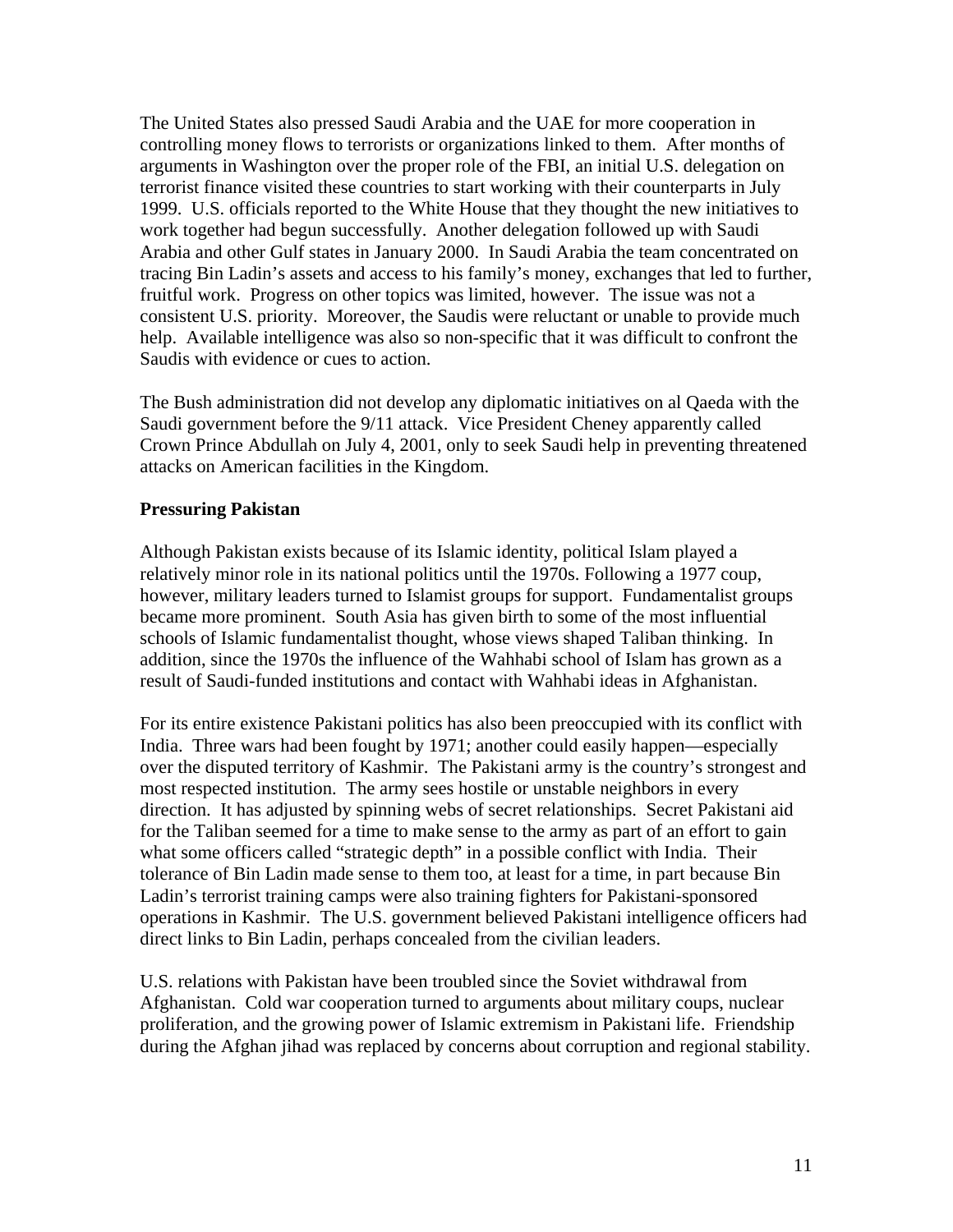The United States also pressed Saudi Arabia and the UAE for more cooperation in controlling money flows to terrorists or organizations linked to them. After months of arguments in Washington over the proper role of the FBI, an initial U.S. delegation on terrorist finance visited these countries to start working with their counterparts in July 1999. U.S. officials reported to the White House that they thought the new initiatives to work together had begun successfully. Another delegation followed up with Saudi Arabia and other Gulf states in January 2000. In Saudi Arabia the team concentrated on tracing Bin Ladin's assets and access to his family's money, exchanges that led to further, fruitful work. Progress on other topics was limited, however. The issue was not a consistent U.S. priority. Moreover, the Saudis were reluctant or unable to provide much help. Available intelligence was also so non-specific that it was difficult to confront the Saudis with evidence or cues to action.

The Bush administration did not develop any diplomatic initiatives on al Qaeda with the Saudi government before the 9/11 attack. Vice President Cheney apparently called Crown Prince Abdullah on July 4, 2001, only to seek Saudi help in preventing threatened attacks on American facilities in the Kingdom.

#### **Pressuring Pakistan**

Although Pakistan exists because of its Islamic identity, political Islam played a relatively minor role in its national politics until the 1970s. Following a 1977 coup, however, military leaders turned to Islamist groups for support. Fundamentalist groups became more prominent. South Asia has given birth to some of the most influential schools of Islamic fundamentalist thought, whose views shaped Taliban thinking. In addition, since the 1970s the influence of the Wahhabi school of Islam has grown as a result of Saudi-funded institutions and contact with Wahhabi ideas in Afghanistan.

For its entire existence Pakistani politics has also been preoccupied with its conflict with India. Three wars had been fought by 1971; another could easily happen—especially over the disputed territory of Kashmir. The Pakistani army is the country's strongest and most respected institution. The army sees hostile or unstable neighbors in every direction. It has adjusted by spinning webs of secret relationships. Secret Pakistani aid for the Taliban seemed for a time to make sense to the army as part of an effort to gain what some officers called "strategic depth" in a possible conflict with India. Their tolerance of Bin Ladin made sense to them too, at least for a time, in part because Bin Ladin's terrorist training camps were also training fighters for Pakistani-sponsored operations in Kashmir. The U.S. government believed Pakistani intelligence officers had direct links to Bin Ladin, perhaps concealed from the civilian leaders.

U.S. relations with Pakistan have been troubled since the Soviet withdrawal from Afghanistan. Cold war cooperation turned to arguments about military coups, nuclear proliferation, and the growing power of Islamic extremism in Pakistani life. Friendship during the Afghan jihad was replaced by concerns about corruption and regional stability.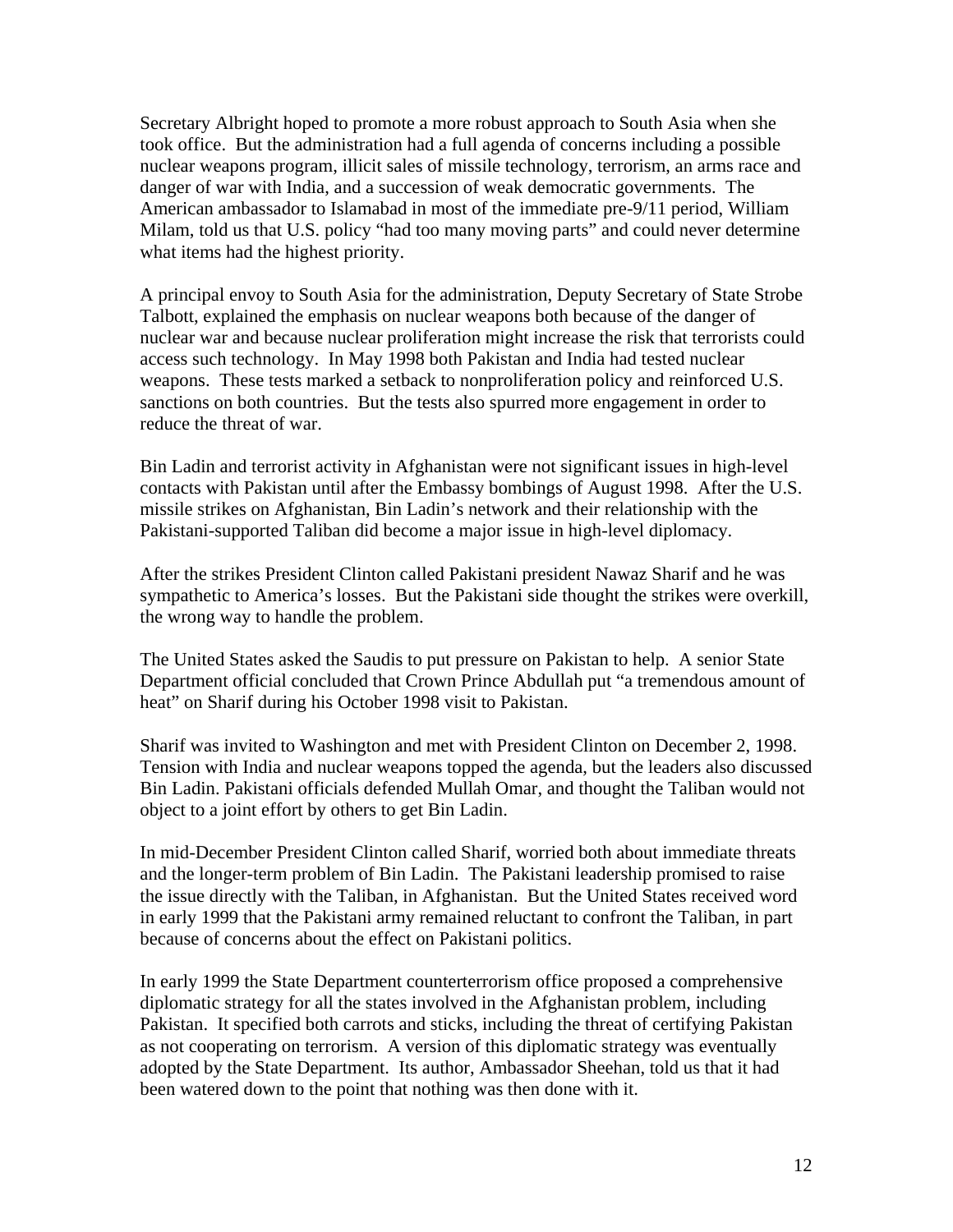Secretary Albright hoped to promote a more robust approach to South Asia when she took office. But the administration had a full agenda of concerns including a possible nuclear weapons program, illicit sales of missile technology, terrorism, an arms race and danger of war with India, and a succession of weak democratic governments. The American ambassador to Islamabad in most of the immediate pre-9/11 period, William Milam, told us that U.S. policy "had too many moving parts" and could never determine what items had the highest priority.

A principal envoy to South Asia for the administration, Deputy Secretary of State Strobe Talbott, explained the emphasis on nuclear weapons both because of the danger of nuclear war and because nuclear proliferation might increase the risk that terrorists could access such technology. In May 1998 both Pakistan and India had tested nuclear weapons. These tests marked a setback to nonproliferation policy and reinforced U.S. sanctions on both countries. But the tests also spurred more engagement in order to reduce the threat of war.

Bin Ladin and terrorist activity in Afghanistan were not significant issues in high-level contacts with Pakistan until after the Embassy bombings of August 1998. After the U.S. missile strikes on Afghanistan, Bin Ladin's network and their relationship with the Pakistani-supported Taliban did become a major issue in high-level diplomacy.

After the strikes President Clinton called Pakistani president Nawaz Sharif and he was sympathetic to America's losses. But the Pakistani side thought the strikes were overkill, the wrong way to handle the problem.

The United States asked the Saudis to put pressure on Pakistan to help. A senior State Department official concluded that Crown Prince Abdullah put "a tremendous amount of heat" on Sharif during his October 1998 visit to Pakistan.

Sharif was invited to Washington and met with President Clinton on December 2, 1998. Tension with India and nuclear weapons topped the agenda, but the leaders also discussed Bin Ladin. Pakistani officials defended Mullah Omar, and thought the Taliban would not object to a joint effort by others to get Bin Ladin.

In mid-December President Clinton called Sharif, worried both about immediate threats and the longer-term problem of Bin Ladin. The Pakistani leadership promised to raise the issue directly with the Taliban, in Afghanistan. But the United States received word in early 1999 that the Pakistani army remained reluctant to confront the Taliban, in part because of concerns about the effect on Pakistani politics.

In early 1999 the State Department counterterrorism office proposed a comprehensive diplomatic strategy for all the states involved in the Afghanistan problem, including Pakistan. It specified both carrots and sticks, including the threat of certifying Pakistan as not cooperating on terrorism. A version of this diplomatic strategy was eventually adopted by the State Department. Its author, Ambassador Sheehan, told us that it had been watered down to the point that nothing was then done with it.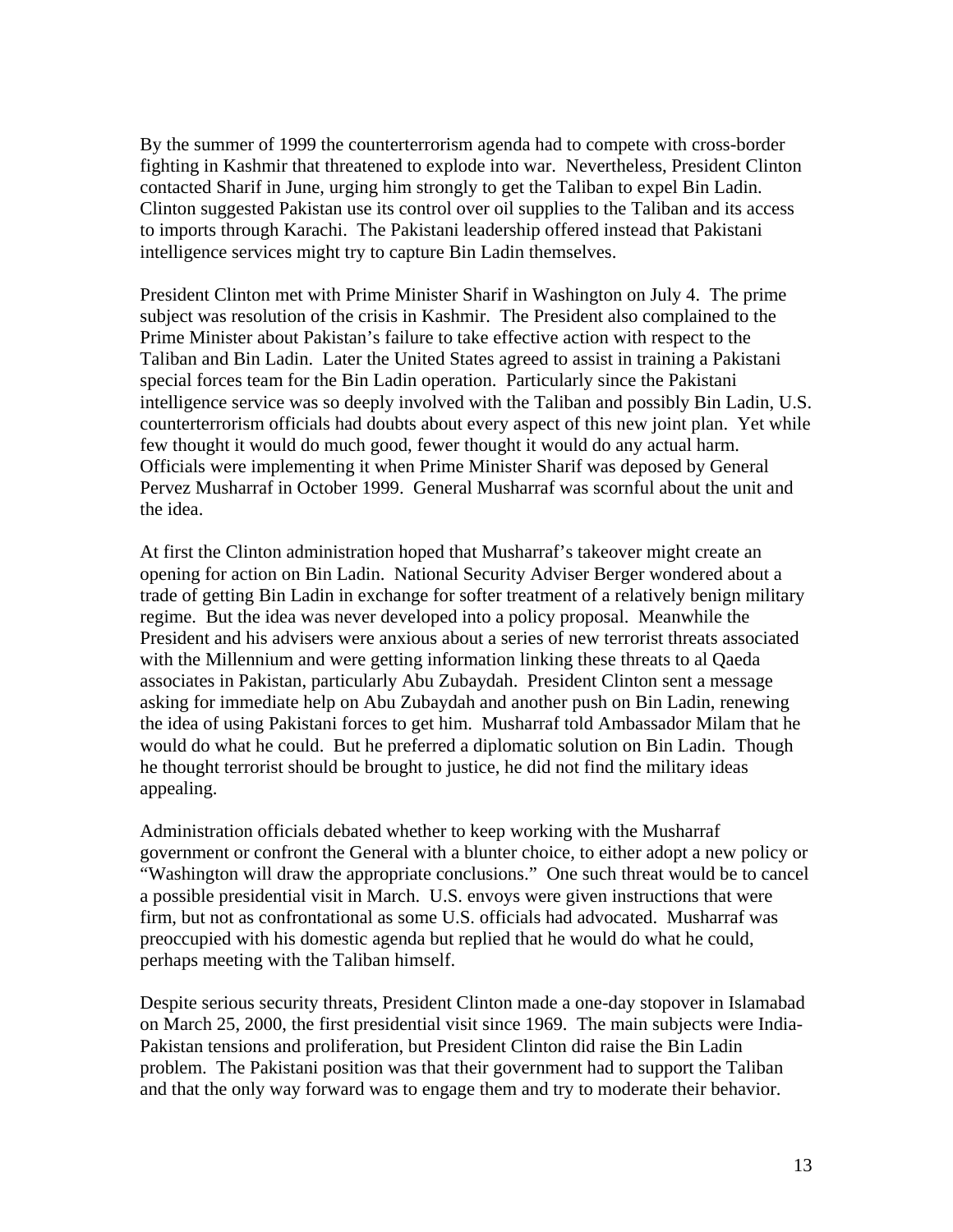By the summer of 1999 the counterterrorism agenda had to compete with cross-border fighting in Kashmir that threatened to explode into war. Nevertheless, President Clinton contacted Sharif in June, urging him strongly to get the Taliban to expel Bin Ladin. Clinton suggested Pakistan use its control over oil supplies to the Taliban and its access to imports through Karachi. The Pakistani leadership offered instead that Pakistani intelligence services might try to capture Bin Ladin themselves.

President Clinton met with Prime Minister Sharif in Washington on July 4. The prime subject was resolution of the crisis in Kashmir. The President also complained to the Prime Minister about Pakistan's failure to take effective action with respect to the Taliban and Bin Ladin. Later the United States agreed to assist in training a Pakistani special forces team for the Bin Ladin operation. Particularly since the Pakistani intelligence service was so deeply involved with the Taliban and possibly Bin Ladin, U.S. counterterrorism officials had doubts about every aspect of this new joint plan. Yet while few thought it would do much good, fewer thought it would do any actual harm. Officials were implementing it when Prime Minister Sharif was deposed by General Pervez Musharraf in October 1999. General Musharraf was scornful about the unit and the idea.

At first the Clinton administration hoped that Musharraf's takeover might create an opening for action on Bin Ladin. National Security Adviser Berger wondered about a trade of getting Bin Ladin in exchange for softer treatment of a relatively benign military regime. But the idea was never developed into a policy proposal. Meanwhile the President and his advisers were anxious about a series of new terrorist threats associated with the Millennium and were getting information linking these threats to al Qaeda associates in Pakistan, particularly Abu Zubaydah. President Clinton sent a message asking for immediate help on Abu Zubaydah and another push on Bin Ladin, renewing the idea of using Pakistani forces to get him. Musharraf told Ambassador Milam that he would do what he could. But he preferred a diplomatic solution on Bin Ladin. Though he thought terrorist should be brought to justice, he did not find the military ideas appealing.

Administration officials debated whether to keep working with the Musharraf government or confront the General with a blunter choice, to either adopt a new policy or "Washington will draw the appropriate conclusions." One such threat would be to cancel a possible presidential visit in March. U.S. envoys were given instructions that were firm, but not as confrontational as some U.S. officials had advocated. Musharraf was preoccupied with his domestic agenda but replied that he would do what he could, perhaps meeting with the Taliban himself.

Despite serious security threats, President Clinton made a one-day stopover in Islamabad on March 25, 2000, the first presidential visit since 1969. The main subjects were India-Pakistan tensions and proliferation, but President Clinton did raise the Bin Ladin problem. The Pakistani position was that their government had to support the Taliban and that the only way forward was to engage them and try to moderate their behavior.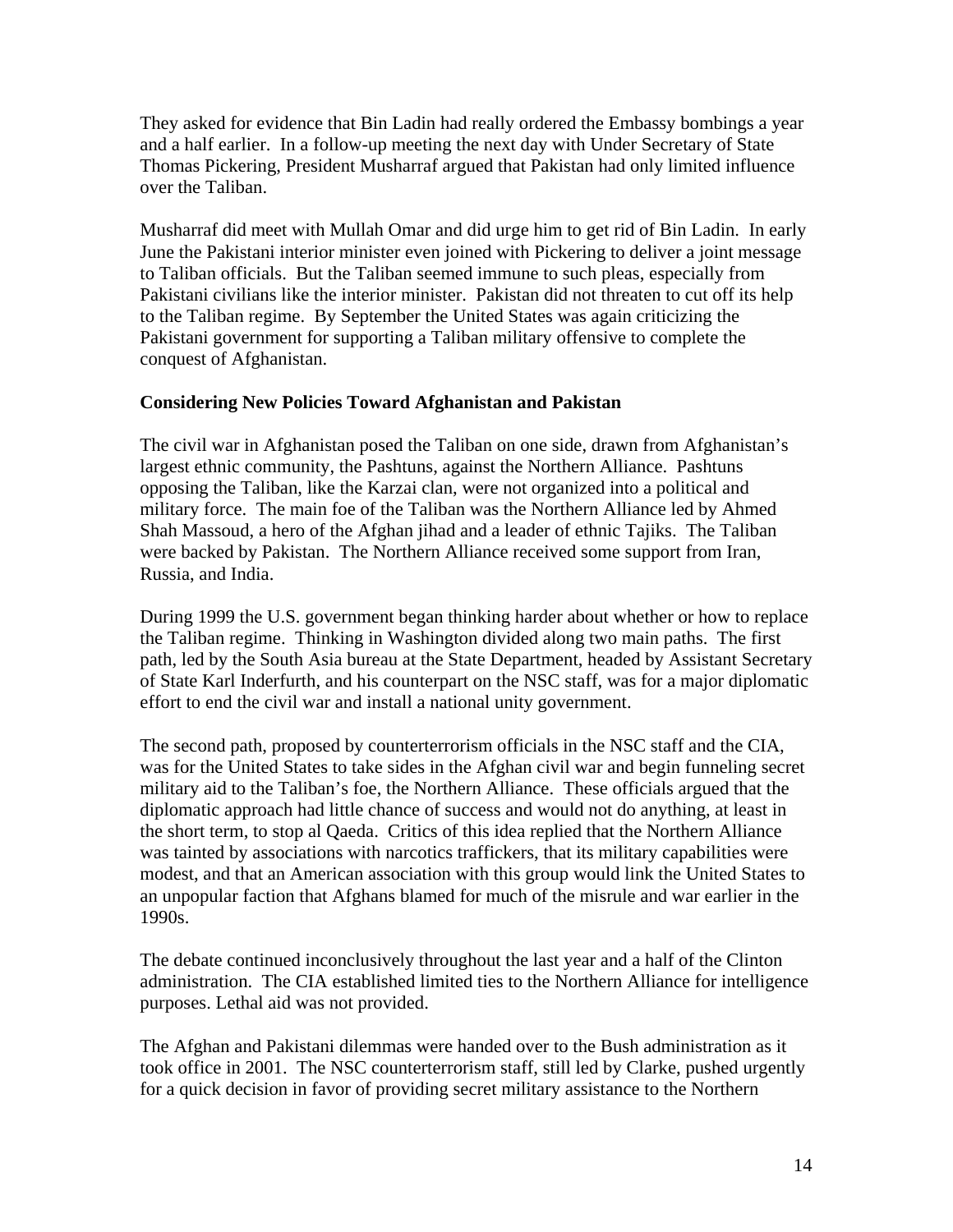They asked for evidence that Bin Ladin had really ordered the Embassy bombings a year and a half earlier. In a follow-up meeting the next day with Under Secretary of State Thomas Pickering, President Musharraf argued that Pakistan had only limited influence over the Taliban.

Musharraf did meet with Mullah Omar and did urge him to get rid of Bin Ladin. In early June the Pakistani interior minister even joined with Pickering to deliver a joint message to Taliban officials. But the Taliban seemed immune to such pleas, especially from Pakistani civilians like the interior minister. Pakistan did not threaten to cut off its help to the Taliban regime. By September the United States was again criticizing the Pakistani government for supporting a Taliban military offensive to complete the conquest of Afghanistan.

## **Considering New Policies Toward Afghanistan and Pakistan**

The civil war in Afghanistan posed the Taliban on one side, drawn from Afghanistan's largest ethnic community, the Pashtuns, against the Northern Alliance. Pashtuns opposing the Taliban, like the Karzai clan, were not organized into a political and military force. The main foe of the Taliban was the Northern Alliance led by Ahmed Shah Massoud, a hero of the Afghan jihad and a leader of ethnic Tajiks. The Taliban were backed by Pakistan. The Northern Alliance received some support from Iran, Russia, and India.

During 1999 the U.S. government began thinking harder about whether or how to replace the Taliban regime. Thinking in Washington divided along two main paths. The first path, led by the South Asia bureau at the State Department, headed by Assistant Secretary of State Karl Inderfurth, and his counterpart on the NSC staff, was for a major diplomatic effort to end the civil war and install a national unity government.

The second path, proposed by counterterrorism officials in the NSC staff and the CIA, was for the United States to take sides in the Afghan civil war and begin funneling secret military aid to the Taliban's foe, the Northern Alliance. These officials argued that the diplomatic approach had little chance of success and would not do anything, at least in the short term, to stop al Qaeda. Critics of this idea replied that the Northern Alliance was tainted by associations with narcotics traffickers, that its military capabilities were modest, and that an American association with this group would link the United States to an unpopular faction that Afghans blamed for much of the misrule and war earlier in the 1990s.

The debate continued inconclusively throughout the last year and a half of the Clinton administration. The CIA established limited ties to the Northern Alliance for intelligence purposes. Lethal aid was not provided.

The Afghan and Pakistani dilemmas were handed over to the Bush administration as it took office in 2001. The NSC counterterrorism staff, still led by Clarke, pushed urgently for a quick decision in favor of providing secret military assistance to the Northern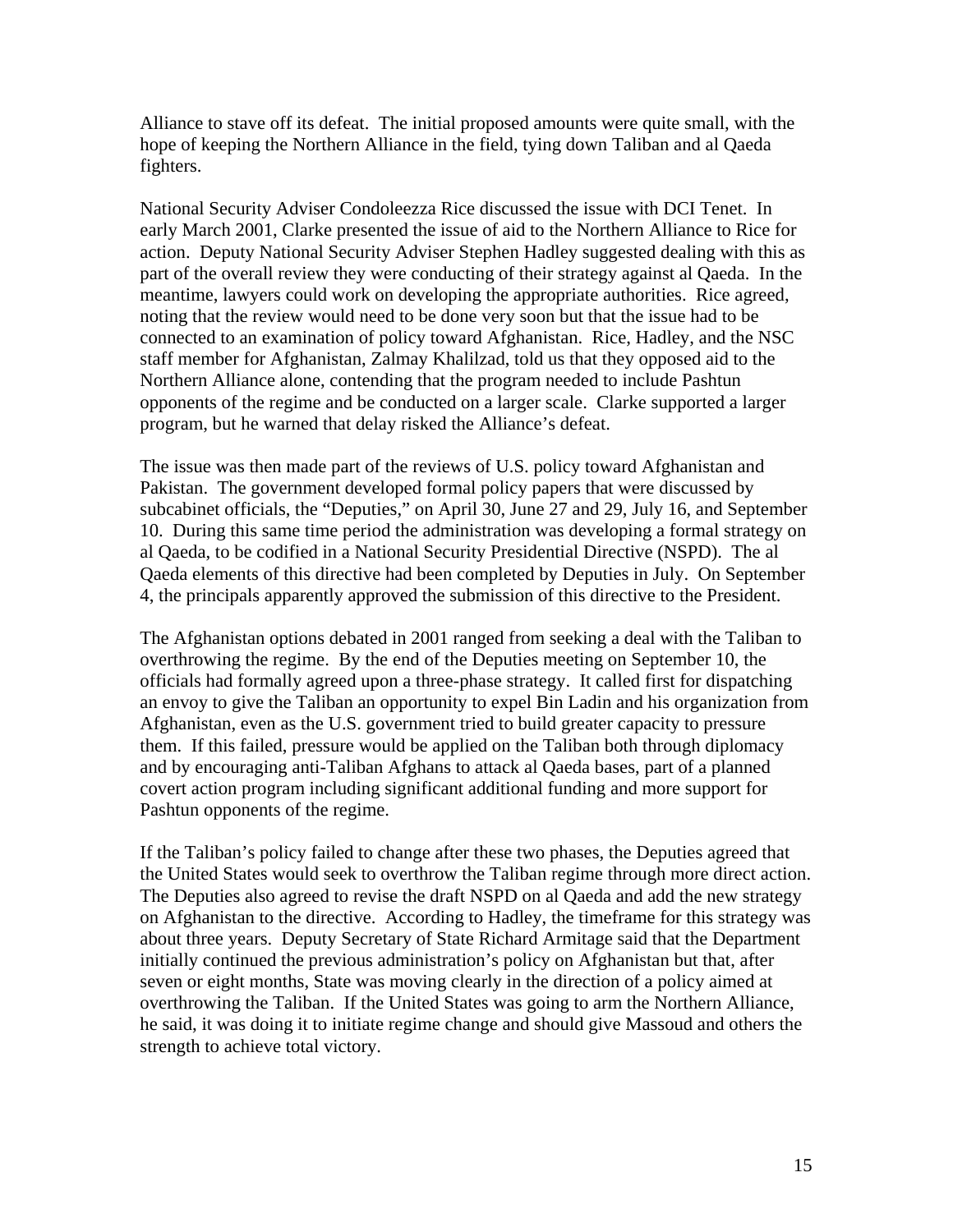Alliance to stave off its defeat. The initial proposed amounts were quite small, with the hope of keeping the Northern Alliance in the field, tying down Taliban and al Qaeda fighters.

National Security Adviser Condoleezza Rice discussed the issue with DCI Tenet. In early March 2001, Clarke presented the issue of aid to the Northern Alliance to Rice for action. Deputy National Security Adviser Stephen Hadley suggested dealing with this as part of the overall review they were conducting of their strategy against al Qaeda. In the meantime, lawyers could work on developing the appropriate authorities. Rice agreed, noting that the review would need to be done very soon but that the issue had to be connected to an examination of policy toward Afghanistan. Rice, Hadley, and the NSC staff member for Afghanistan, Zalmay Khalilzad, told us that they opposed aid to the Northern Alliance alone, contending that the program needed to include Pashtun opponents of the regime and be conducted on a larger scale. Clarke supported a larger program, but he warned that delay risked the Alliance's defeat.

The issue was then made part of the reviews of U.S. policy toward Afghanistan and Pakistan. The government developed formal policy papers that were discussed by subcabinet officials, the "Deputies," on April 30, June 27 and 29, July 16, and September 10. During this same time period the administration was developing a formal strategy on al Qaeda, to be codified in a National Security Presidential Directive (NSPD). The al Qaeda elements of this directive had been completed by Deputies in July. On September 4, the principals apparently approved the submission of this directive to the President.

The Afghanistan options debated in 2001 ranged from seeking a deal with the Taliban to overthrowing the regime. By the end of the Deputies meeting on September 10, the officials had formally agreed upon a three-phase strategy. It called first for dispatching an envoy to give the Taliban an opportunity to expel Bin Ladin and his organization from Afghanistan, even as the U.S. government tried to build greater capacity to pressure them. If this failed, pressure would be applied on the Taliban both through diplomacy and by encouraging anti-Taliban Afghans to attack al Qaeda bases, part of a planned covert action program including significant additional funding and more support for Pashtun opponents of the regime.

If the Taliban's policy failed to change after these two phases, the Deputies agreed that the United States would seek to overthrow the Taliban regime through more direct action. The Deputies also agreed to revise the draft NSPD on al Qaeda and add the new strategy on Afghanistan to the directive. According to Hadley, the timeframe for this strategy was about three years. Deputy Secretary of State Richard Armitage said that the Department initially continued the previous administration's policy on Afghanistan but that, after seven or eight months, State was moving clearly in the direction of a policy aimed at overthrowing the Taliban. If the United States was going to arm the Northern Alliance, he said, it was doing it to initiate regime change and should give Massoud and others the strength to achieve total victory.